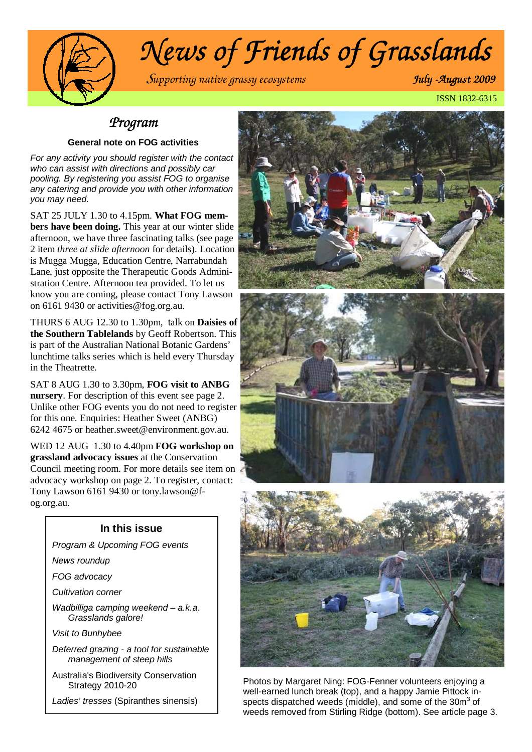

# *News of Friends of Grasslands.*

S*upporting native grassy ecosystems July -August 2009 August 2009.* 

ISSN 1832-6315 .

#### *Program*

#### **General note on FOG activities**

For any activity you should register with the contact who can assist with directions and possibly car pooling. By registering you assist FOG to organise any catering and provide you with other information you may need.

SAT 25 JULY 1.30 to 4.15pm. **What FOG members have been doing.** This year at our winter slide afternoon, we have three fascinating talks (see page 2 item *three at slide afternoon* for details). Location is Mugga Mugga, Education Centre, Narrabundah Lane, just opposite the Therapeutic Goods Administration Centre. Afternoon tea provided. To let us know you are coming, please contact Tony Lawson on 6161 9430 or activities@fog.org.au.

THURS 6 AUG 12.30 to 1.30pm, talk on **Daisies of the Southern Tablelands** by Geoff Robertson. This is part of the Australian National Botanic Gardens' lunchtime talks series which is held every Thursday in the Theatrette.

SAT 8 AUG 1.30 to 3.30pm, **FOG visit to ANBG nursery**. For description of this event see page 2. Unlike other FOG events you do not need to register for this one. Enquiries: Heather Sweet (ANBG) 6242 4675 or heather.sweet@environment.gov.au.

WED 12 AUG 1.30 to 4.40pm **FOG workshop on grassland advocacy issues** at the Conservation Council meeting room. For more details see item on advocacy workshop on page 2. To register, contact: Tony Lawson 6161 9430 or tony.lawson@fog.org.au.

#### **In this issue**

- Program & Upcoming FOG events
- News roundup
- FOG advocacy
- Cultivation corner

Wadbilliga camping weekend - a.k.a. Grasslands galore!

Visit to Bunhybee

Deferred grazing - a tool for sustainable management of steep hills

Australia's Biodiversity Conservation Strategy 2010-20

Ladies' tresses (Spiranthes sinensis)







Photos by Margaret Ning: FOG-Fenner volunteers enjoying a well-earned lunch break (top), and a happy Jamie Pittock inspects dispatched weeds (middle), and some of the 30 $m^3$  of weeds removed from Stirling Ridge (bottom). See article page 3.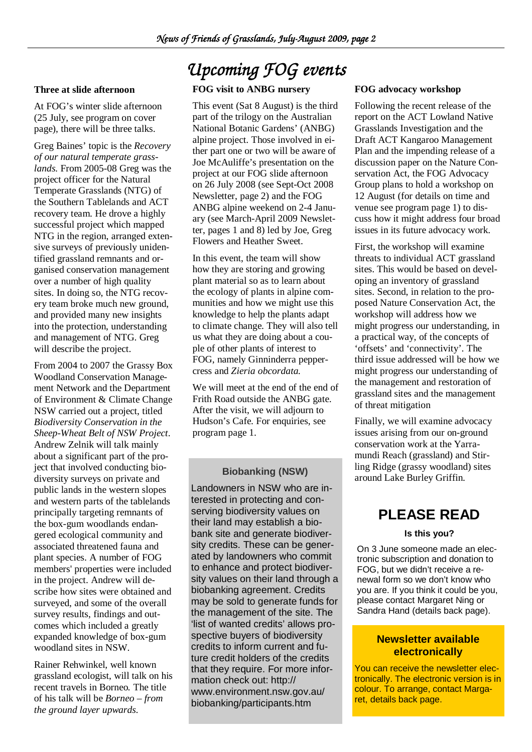#### **Three at slide afternoon**

At FOG's winter slide afternoon (25 July, see program on cover page), there will be three talks.

Greg Baines' topic is the *Recovery of our natural temperate grasslands.* From 2005-08 Greg was the project officer for the Natural Temperate Grasslands (NTG) of the Southern Tablelands and ACT recovery team. He drove a highly successful project which mapped NTG in the region, arranged extensive surveys of previously unidentified grassland remnants and organised conservation management over a number of high quality sites. In doing so, the NTG recovery team broke much new ground, and provided many new insights into the protection, understanding and management of NTG. Greg will describe the project.

From 2004 to 2007 the Grassy Box Woodland Conservation Management Network and the Department of Environment & Climate Change NSW carried out a project, titled *Biodiversity Conservation in the Sheep-Wheat Belt of NSW Project*. Andrew Zelnik will talk mainly about a significant part of the project that involved conducting biodiversity surveys on private and public lands in the western slopes and western parts of the tablelands principally targeting remnants of the box-gum woodlands endangered ecological community and associated threatened fauna and plant species. A number of FOG members' properties were included in the project. Andrew will describe how sites were obtained and surveyed, and some of the overall survey results, findings and outcomes which included a greatly expanded knowledge of box-gum woodland sites in NSW.

Rainer Rehwinkel*,* well known grassland ecologist, will talk on his recent travels in Borneo*.* The title of his talk will be *Borneo – from the ground layer upwards.*

# *Upcoming FOG events*

#### **FOG visit to ANBG nursery**

This event (Sat 8 August) is the third part of the trilogy on the Australian National Botanic Gardens' (ANBG) alpine project. Those involved in either part one or two will be aware of Joe McAuliffe's presentation on the project at our FOG slide afternoon on 26 July 2008 (see Sept-Oct 2008 Newsletter, page 2) and the FOG ANBG alpine weekend on 2-4 January (see March-April 2009 Newsletter, pages 1 and 8) led by Joe, Greg Flowers and Heather Sweet.

In this event, the team will show how they are storing and growing plant material so as to learn about the ecology of plants in alpine communities and how we might use this knowledge to help the plants adapt to climate change. They will also tell us what they are doing about a couple of other plants of interest to FOG, namely Ginninderra peppercress and *Zieria obcordata.* 

We will meet at the end of the end of Frith Road outside the ANBG gate. After the visit, we will adjourn to Hudson's Cafe. For enquiries, see program page 1.

#### **Biobanking (NSW)**

Landowners in NSW who are interested in protecting and conserving biodiversity values on their land may establish a biobank site and generate biodiversity credits. These can be generated by landowners who commit to enhance and protect biodiversity values on their land through a biobanking agreement. Credits may be sold to generate funds for the management of the site. The 'list of wanted credits' allows prospective buyers of biodiversity credits to inform current and future credit holders of the credits that they require. For more information check out: http:// www.environment.nsw.gov.au/ biobanking/participants.htm

#### **FOG advocacy workshop**

Following the recent release of the report on the ACT Lowland Native Grasslands Investigation and the Draft ACT Kangaroo Management Plan and the impending release of a discussion paper on the Nature Conservation Act, the FOG Advocacy Group plans to hold a workshop on 12 August (for details on time and venue see program page 1) to discuss how it might address four broad issues in its future advocacy work.

First, the workshop will examine threats to individual ACT grassland sites. This would be based on developing an inventory of grassland sites. Second, in relation to the proposed Nature Conservation Act, the workshop will address how we might progress our understanding, in a practical way, of the concepts of 'offsets' and 'connectivity'. The third issue addressed will be how we might progress our understanding of the management and restoration of grassland sites and the management of threat mitigation

Finally, we will examine advocacy issues arising from our on-ground conservation work at the Yarramundi Reach (grassland) and Stirling Ridge (grassy woodland) sites around Lake Burley Griffin.

### **PLEASE READ**

#### **Is this you?**

On 3 June someone made an electronic subscription and donation to FOG, but we didn't receive a renewal form so we don't know who you are. If you think it could be you, please contact Margaret Ning or Sandra Hand (details back page).

#### **Newsletter available electronically**

You can receive the newsletter electronically. The electronic version is in colour. To arrange, contact Margaret, details back page.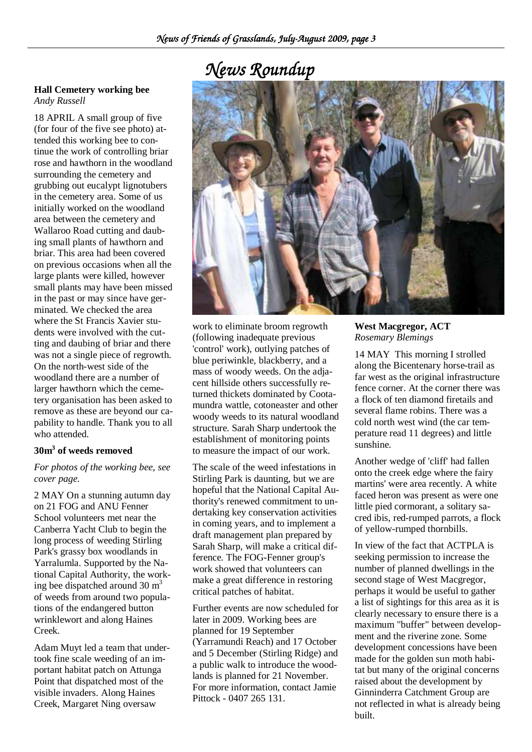# *News Roundup*

#### **Hall Cemetery working bee** *Andy Russell*

18 APRIL A small group of five (for four of the five see photo) attended this working bee to continue the work of controlling briar rose and hawthorn in the woodland surrounding the cemetery and grubbing out eucalypt lignotubers in the cemetery area. Some of us initially worked on the woodland area between the cemetery and Wallaroo Road cutting and daubing small plants of hawthorn and briar. This area had been covered on previous occasions when all the large plants were killed, however small plants may have been missed in the past or may since have germinated. We checked the area where the St Francis Xavier students were involved with the cutting and daubing of briar and there was not a single piece of regrowth. On the north-west side of the woodland there are a number of larger hawthorn which the cemetery organisation has been asked to remove as these are beyond our capability to handle. Thank you to all who attended.

#### **30m<sup>3</sup> of weeds removed**

#### *For photos of the working bee, see cover page.*

2 MAY On a stunning autumn day on 21 FOG and ANU Fenner School volunteers met near the Canberra Yacht Club to begin the long process of weeding Stirling Park's grassy box woodlands in Yarralumla. Supported by the National Capital Authority, the working bee dispatched around 30  $m<sup>3</sup>$ of weeds from around two populations of the endangered button wrinklewort and along Haines Creek.

Adam Muyt led a team that undertook fine scale weeding of an important habitat patch on Attunga Point that dispatched most of the visible invaders. Along Haines Creek, Margaret Ning oversaw



work to eliminate broom regrowth (following inadequate previous 'control' work), outlying patches of blue periwinkle, blackberry, and a mass of woody weeds. On the adjacent hillside others successfully returned thickets dominated by Cootamundra wattle, cotoneaster and other woody weeds to its natural woodland structure. Sarah Sharp undertook the establishment of monitoring points to measure the impact of our work.

The scale of the weed infestations in Stirling Park is daunting, but we are hopeful that the National Capital Authority's renewed commitment to undertaking key conservation activities in coming years, and to implement a draft management plan prepared by Sarah Sharp, will make a critical difference. The FOG-Fenner group's work showed that volunteers can make a great difference in restoring critical patches of habitat.

Further events are now scheduled for later in 2009. Working bees are planned for 19 September (Yarramundi Reach) and 17 October and 5 December (Stirling Ridge) and a public walk to introduce the woodlands is planned for 21 November. For more information, contact Jamie Pittock - 0407 265 131.

#### **West Macgregor, ACT**  *Rosemary Blemings*

14 MAY This morning I strolled along the Bicentenary horse-trail as far west as the original infrastructure fence corner. At the corner there was a flock of ten diamond firetails and several flame robins. There was a cold north west wind (the car temperature read 11 degrees) and little sunshine.

Another wedge of 'cliff' had fallen onto the creek edge where the fairy martins' were area recently. A white faced heron was present as were one little pied cormorant, a solitary sacred ibis, red-rumped parrots, a flock of yellow-rumped thornbills.

In view of the fact that ACTPLA is seeking permission to increase the number of planned dwellings in the second stage of West Macgregor, perhaps it would be useful to gather a list of sightings for this area as it is clearly necessary to ensure there is a maximum "buffer" between development and the riverine zone. Some development concessions have been made for the golden sun moth habitat but many of the original concerns raised about the development by Ginninderra Catchment Group are not reflected in what is already being built.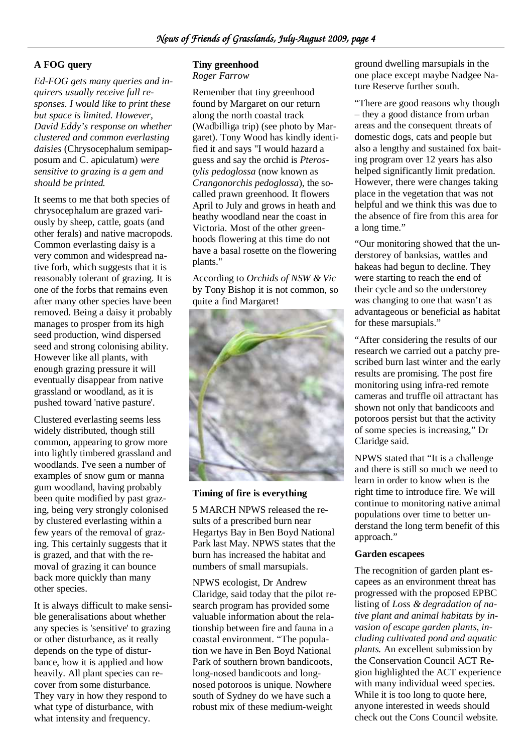#### **A FOG query**

*Ed-FOG gets many queries and inquirers usually receive full responses. I would like to print these but space is limited. However, David Eddy's response on whether clustered and common everlasting daisies* (Chrysocephalum semipapposum and C. apiculatum) *were sensitive to grazing is a gem and should be printed.* 

It seems to me that both species of chrysocephalum are grazed variously by sheep, cattle, goats (and other ferals) and native macropods. Common everlasting daisy is a very common and widespread native forb, which suggests that it is reasonably tolerant of grazing. It is one of the forbs that remains even after many other species have been removed. Being a daisy it probably manages to prosper from its high seed production, wind dispersed seed and strong colonising ability. However like all plants, with enough grazing pressure it will eventually disappear from native grassland or woodland, as it is pushed toward 'native pasture'.

Clustered everlasting seems less widely distributed, though still common, appearing to grow more into lightly timbered grassland and woodlands. I've seen a number of examples of snow gum or manna gum woodland, having probably been quite modified by past grazing, being very strongly colonised by clustered everlasting within a few years of the removal of grazing. This certainly suggests that it is grazed, and that with the removal of grazing it can bounce back more quickly than many other species.

It is always difficult to make sensible generalisations about whether any species is 'sensitive' to grazing or other disturbance, as it really depends on the type of disturbance, how it is applied and how heavily. All plant species can recover from some disturbance. They vary in how they respond to what type of disturbance, with what intensity and frequency.

#### **Tiny greenhood**

*Roger Farrow* 

Remember that tiny greenhood found by Margaret on our return along the north coastal track (Wadbilliga trip) (see photo by Margaret). Tony Wood has kindly identified it and says "I would hazard a guess and say the orchid is *Pterostylis pedoglossa* (now known as *Crangonorchis pedoglossa*), the socalled prawn greenhood. It flowers April to July and grows in heath and heathy woodland near the coast in Victoria. Most of the other greenhoods flowering at this time do not have a basal rosette on the flowering plants."

According to *Orchids of NSW & Vic* by Tony Bishop it is not common, so quite a find Margaret!



#### **Timing of fire is everything**

5 MARCH NPWS released the results of a prescribed burn near Hegartys Bay in Ben Boyd National Park last May. NPWS states that the burn has increased the habitat and numbers of small marsupials.

NPWS ecologist, Dr Andrew Claridge, said today that the pilot research program has provided some valuable information about the relationship between fire and fauna in a coastal environment. "The population we have in Ben Boyd National Park of southern brown bandicoots, long-nosed bandicoots and longnosed potoroos is unique. Nowhere south of Sydney do we have such a robust mix of these medium-weight

ground dwelling marsupials in the one place except maybe Nadgee Nature Reserve further south.

"There are good reasons why though – they a good distance from urban areas and the consequent threats of domestic dogs, cats and people but also a lengthy and sustained fox baiting program over 12 years has also helped significantly limit predation. However, there were changes taking place in the vegetation that was not helpful and we think this was due to the absence of fire from this area for a long time."

"Our monitoring showed that the understorey of banksias, wattles and hakeas had begun to decline. They were starting to reach the end of their cycle and so the understorey was changing to one that wasn't as advantageous or beneficial as habitat for these marsupials."

"After considering the results of our research we carried out a patchy prescribed burn last winter and the early results are promising. The post fire monitoring using infra-red remote cameras and truffle oil attractant has shown not only that bandicoots and potoroos persist but that the activity of some species is increasing," Dr Claridge said.

NPWS stated that "It is a challenge and there is still so much we need to learn in order to know when is the right time to introduce fire. We will continue to monitoring native animal populations over time to better understand the long term benefit of this approach."

#### **Garden escapees**

The recognition of garden plant escapees as an environment threat has progressed with the proposed EPBC listing of *Loss & degradation of native plant and animal habitats by invasion of escape garden plants, including cultivated pond and aquatic plants.* An excellent submission by the Conservation Council ACT Region highlighted the ACT experience with many individual weed species. While it is too long to quote here, anyone interested in weeds should check out the Cons Council website.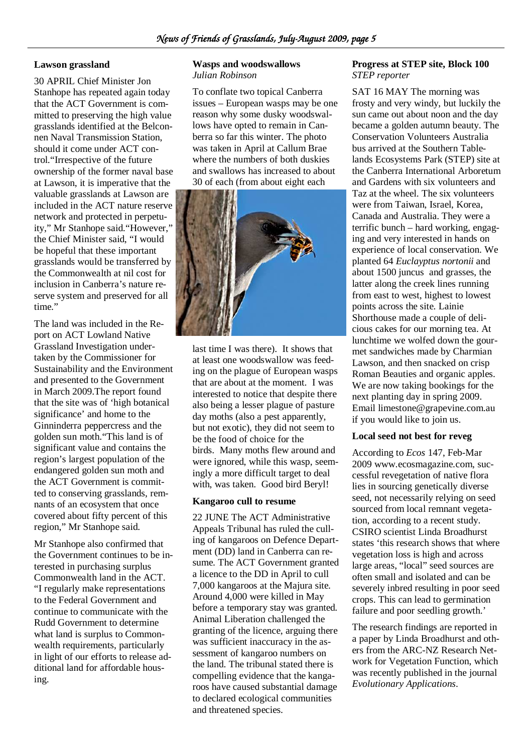#### **Lawson grassland**

30 APRIL Chief Minister Jon Stanhope has repeated again today that the ACT Government is committed to preserving the high value grasslands identified at the Belconnen Naval Transmission Station, should it come under ACT control."Irrespective of the future ownership of the former naval base at Lawson, it is imperative that the valuable grasslands at Lawson are included in the ACT nature reserve network and protected in perpetuity," Mr Stanhope said."However," the Chief Minister said, "I would be hopeful that these important grasslands would be transferred by the Commonwealth at nil cost for inclusion in Canberra's nature reserve system and preserved for all time."

The land was included in the Report on ACT Lowland Native Grassland Investigation undertaken by the Commissioner for Sustainability and the Environment and presented to the Government in March 2009.The report found that the site was of 'high botanical significance' and home to the Ginninderra peppercress and the golden sun moth."This land is of significant value and contains the region's largest population of the endangered golden sun moth and the ACT Government is committed to conserving grasslands, remnants of an ecosystem that once covered about fifty percent of this region," Mr Stanhope said.

Mr Stanhope also confirmed that the Government continues to be interested in purchasing surplus Commonwealth land in the ACT. "I regularly make representations to the Federal Government and continue to communicate with the Rudd Government to determine what land is surplus to Commonwealth requirements, particularly in light of our efforts to release additional land for affordable housing.

#### **Wasps and woodswallows**  *Julian Robinson*

To conflate two topical Canberra issues – European wasps may be one reason why some dusky woodswallows have opted to remain in Canberra so far this winter. The photo was taken in April at Callum Brae where the numbers of both duskies and swallows has increased to about 30 of each (from about eight each



last time I was there). It shows that at least one woodswallow was feeding on the plague of European wasps that are about at the moment. I was interested to notice that despite there also being a lesser plague of pasture day moths (also a pest apparently, but not exotic), they did not seem to be the food of choice for the birds. Many moths flew around and were ignored, while this wasp, seemingly a more difficult target to deal with, was taken. Good bird Beryl!

#### **Kangaroo cull to resume**

22 JUNE The ACT Administrative Appeals Tribunal has ruled the culling of kangaroos on Defence Department (DD) land in Canberra can resume. The ACT Government granted a licence to the DD in April to cull 7,000 kangaroos at the Majura site. Around 4,000 were killed in May before a temporary stay was granted. Animal Liberation challenged the granting of the licence, arguing there was sufficient inaccuracy in the assessment of kangaroo numbers on the land. The tribunal stated there is compelling evidence that the kangaroos have caused substantial damage to declared ecological communities and threatened species.

#### **Progress at STEP site, Block 100**  *STEP reporter*

SAT 16 MAY The morning was frosty and very windy, but luckily the sun came out about noon and the day became a golden autumn beauty. The Conservation Volunteers Australia bus arrived at the Southern Tablelands Ecosystems Park (STEP) site at the Canberra International Arboretum and Gardens with six volunteers and Taz at the wheel. The six volunteers were from Taiwan, Israel, Korea, Canada and Australia. They were a terrific bunch – hard working, engaging and very interested in hands on experience of local conservation. We planted 64 *Euclayptus nortonii* and about 1500 juncus and grasses, the latter along the creek lines running from east to west, highest to lowest points across the site. Lainie Shorthouse made a couple of delicious cakes for our morning tea. At lunchtime we wolfed down the gourmet sandwiches made by Charmian Lawson, and then snacked on crisp Roman Beauties and organic apples. We are now taking bookings for the next planting day in spring 2009. Email limestone@grapevine.com.au if you would like to join us.

#### **Local seed not best for reveg**

According to *Ecos* 147, Feb-Mar 2009 www.ecosmagazine.com, successful revegetation of native flora lies in sourcing genetically diverse seed, not necessarily relying on seed sourced from local remnant vegetation, according to a recent study. CSIRO scientist Linda Broadhurst states 'this research shows that where vegetation loss is high and across large areas, "local" seed sources are often small and isolated and can be severely inbred resulting in poor seed crops. This can lead to germination failure and poor seedling growth.'

The research findings are reported in a paper by Linda Broadhurst and others from the ARC-NZ Research Network for Vegetation Function, which was recently published in the journal *Evolutionary Applications*.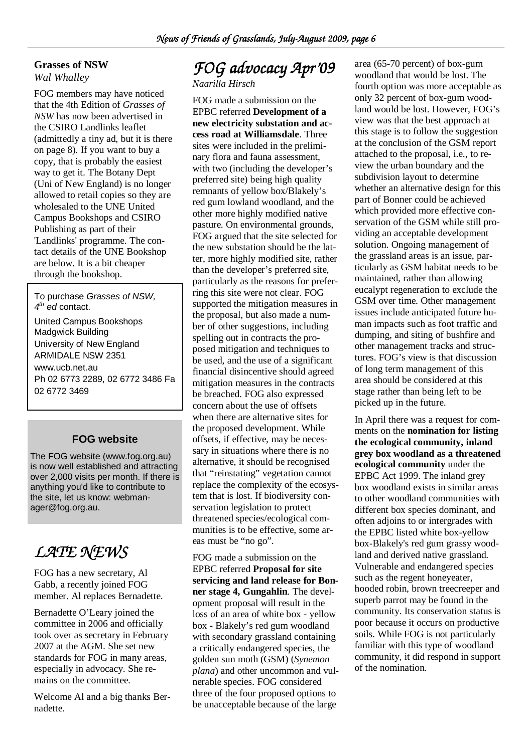#### **Grasses of NSW**

*Wal Whalley* 

FOG members may have noticed that the 4th Edition of *Grasses of NSW* has now been advertised in the CSIRO Landlinks leaflet (admittedly a tiny ad, but it is there on page 8). If you want to buy a copy, that is probably the easiest way to get it. The Botany Dept (Uni of New England) is no longer allowed to retail copies so they are wholesaled to the UNE United Campus Bookshops and CSIRO Publishing as part of their 'Landlinks' programme. The contact details of the UNE Bookshop are below. It is a bit cheaper through the bookshop.

To purchase Grasses of NSW,  $4<sup>th</sup>$  ed contact.

United Campus Bookshops Madgwick Building University of New England ARMIDALE NSW 2351 www.ucb.net.au Ph 02 6773 2289, 02 6772 3486 Fa 02 6772 3469

#### **FOG website**

The FOG website (www.fog.org.au) is now well established and attracting over 2,000 visits per month. If there is anything you'd like to contribute to the site, let us know: webmanager@fog.org.au.

# *LATE NEWS*

FOG has a new secretary, Al Gabb, a recently joined FOG member. Al replaces Bernadette.

Bernadette O'Leary joined the committee in 2006 and officially took over as secretary in February 2007 at the AGM. She set new standards for FOG in many areas, especially in advocacy. She remains on the committee.

Welcome Al and a big thanks Bernadette.

# *FOG advocacy Apr'09*

*Naarilla Hirsch* 

FOG made a submission on the EPBC referred **Development of a new electricity substation and access road at Williamsdale**. Three sites were included in the preliminary flora and fauna assessment, with two (including the developer's preferred site) being high quality remnants of yellow box/Blakely's red gum lowland woodland, and the other more highly modified native pasture. On environmental grounds, FOG argued that the site selected for the new substation should be the latter, more highly modified site, rather than the developer's preferred site, particularly as the reasons for preferring this site were not clear. FOG supported the mitigation measures in the proposal, but also made a number of other suggestions, including spelling out in contracts the proposed mitigation and techniques to be used, and the use of a significant financial disincentive should agreed mitigation measures in the contracts be breached. FOG also expressed concern about the use of offsets when there are alternative sites for the proposed development. While offsets, if effective, may be necessary in situations where there is no alternative, it should be recognised that "reinstating" vegetation cannot replace the complexity of the ecosystem that is lost. If biodiversity conservation legislation to protect threatened species/ecological communities is to be effective, some areas must be "no go".

FOG made a submission on the EPBC referred **Proposal for site servicing and land release for Bonner stage 4, Gungahlin**. The development proposal will result in the loss of an area of white box - yellow box - Blakely's red gum woodland with secondary grassland containing a critically endangered species, the golden sun moth (GSM) (*Synemon plana*) and other uncommon and vulnerable species. FOG considered three of the four proposed options to be unacceptable because of the large

area (65-70 percent) of box-gum woodland that would be lost. The fourth option was more acceptable as only 32 percent of box-gum woodland would be lost. However, FOG's view was that the best approach at this stage is to follow the suggestion at the conclusion of the GSM report attached to the proposal, i.e., to review the urban boundary and the subdivision layout to determine whether an alternative design for this part of Bonner could be achieved which provided more effective conservation of the GSM while still providing an acceptable development solution. Ongoing management of the grassland areas is an issue, particularly as GSM habitat needs to be maintained, rather than allowing eucalypt regeneration to exclude the GSM over time. Other management issues include anticipated future human impacts such as foot traffic and dumping, and siting of bushfire and other management tracks and structures. FOG's view is that discussion of long term management of this area should be considered at this stage rather than being left to be picked up in the future.

In April there was a request for comments on the **nomination for listing the ecological community, inland grey box woodland as a threatened ecological community** under the EPBC Act 1999. The inland grey box woodland exists in similar areas to other woodland communities with different box species dominant, and often adjoins to or intergrades with the EPBC listed white box-yellow box-Blakely's red gum grassy woodland and derived native grassland. Vulnerable and endangered species such as the regent honeyeater, hooded robin, brown treecreeper and superb parrot may be found in the community. Its conservation status is poor because it occurs on productive soils. While FOG is not particularly familiar with this type of woodland community, it did respond in support of the nomination.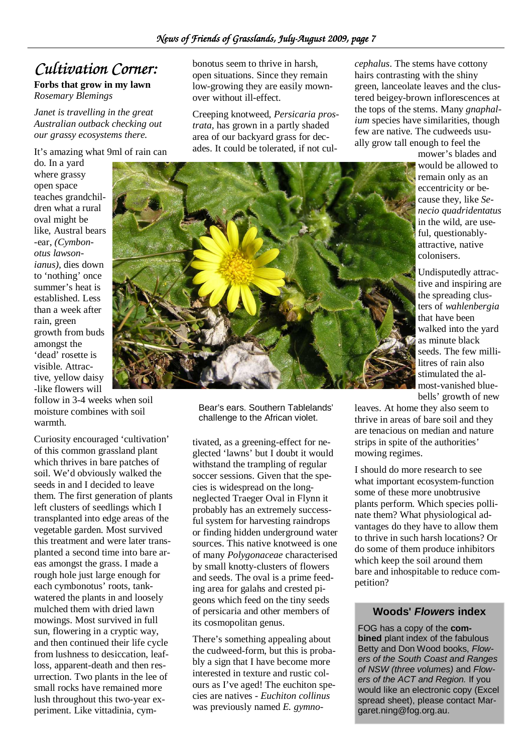### *Cultivation Corner:*

#### **Forbs that grow in my lawn** *Rosemary Blemings*

*Janet is travelling in the great Australian outback checking out our grassy ecosystems there.* 

#### It's amazing what 9ml of rain can

do. In a yard where grassy open space teaches grandchildren what a rural oval might be like, Austral bears -ear, *(Cymbonotus lawsonianus),* dies down to 'nothing' once summer's heat is established. Less than a week after rain, green growth from buds amongst the 'dead' rosette is visible. Attractive, yellow daisy -like flowers will

follow in 3-4 weeks when soil moisture combines with soil warmth.

Curiosity encouraged 'cultivation' of this common grassland plant which thrives in bare patches of soil. We'd obviously walked the seeds in and I decided to leave them. The first generation of plants left clusters of seedlings which I transplanted into edge areas of the vegetable garden. Most survived this treatment and were later transplanted a second time into bare areas amongst the grass. I made a rough hole just large enough for each cymbonotus' roots, tankwatered the plants in and loosely mulched them with dried lawn mowings. Most survived in full sun, flowering in a cryptic way, and then continued their life cycle from lushness to desiccation, leafloss, apparent-death and then resurrection. Two plants in the lee of small rocks have remained more lush throughout this two-year experiment. Like vittadinia, cymbonotus seem to thrive in harsh, open situations. Since they remain low-growing they are easily mownover without ill-effect.

Creeping knotweed, *Persicaria prostrata,* has grown in a partly shaded area of our backyard grass for decades. It could be tolerated, if not cul*cephalus*. The stems have cottony hairs contrasting with the shiny green, lanceolate leaves and the clustered beigey-brown inflorescences at the tops of the stems. Many *gnaphalium* species have similarities, though few are native. The cudweeds usually grow tall enough to feel the

mower's blades and would be allowed to remain only as an eccentricity or because they, like *Senecio quadridentatus*  in the wild, are useful, questionablyattractive, native colonisers.

Undisputedly attractive and inspiring are the spreading clusters of *wahlenbergia* that have been walked into the yard as minute black seeds. The few millilitres of rain also stimulated the almost-vanished bluebells' growth of new

Bear's ears. Southern Tablelands' challenge to the African violet.

tivated, as a greening-effect for neglected 'lawns' but I doubt it would withstand the trampling of regular soccer sessions. Given that the species is widespread on the longneglected Traeger Oval in Flynn it probably has an extremely successful system for harvesting raindrops or finding hidden underground water sources. This native knotweed is one of many *Polygonaceae* characterised by small knotty-clusters of flowers and seeds. The oval is a prime feeding area for galahs and crested pigeons which feed on the tiny seeds of persicaria and other members of its cosmopolitan genus.

There's something appealing about the cudweed-form, but this is probably a sign that I have become more interested in texture and rustic colours as I've aged! The euchiton species are natives - *Euchiton collinus* was previously named *E. gymno-* leaves. At home they also seem to thrive in areas of bare soil and they are tenacious on median and nature strips in spite of the authorities' mowing regimes.

I should do more research to see what important ecosystem-function some of these more unobtrusive plants perform. Which species pollinate them? What physiological advantages do they have to allow them to thrive in such harsh locations? Or do some of them produce inhibitors which keep the soil around them bare and inhospitable to reduce competition?

#### **Woods' Flowers index**

FOG has a copy of the **combined** plant index of the fabulous Betty and Don Wood books, Flowers of the South Coast and Ranges of NSW (three volumes) and Flowers of the ACT and Region. If you would like an electronic copy (Excel spread sheet), please contact Margaret.ning@fog.org.au.

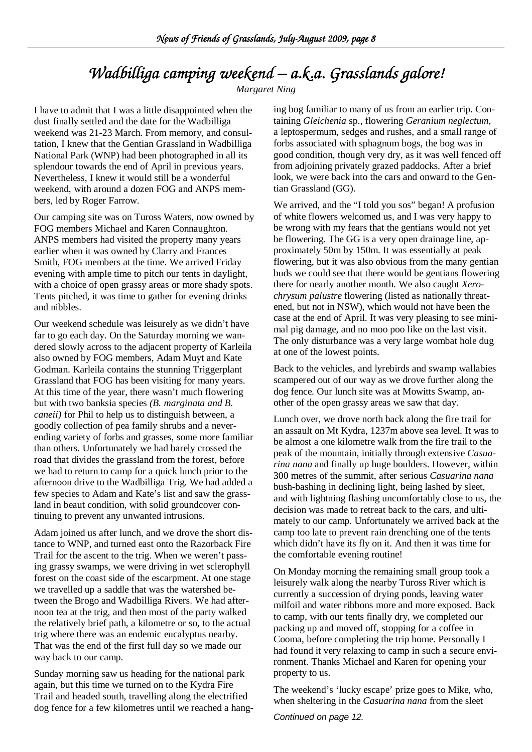# *Wadbilliga camping weekend – a.k.a. Grasslands galore!*

*Margaret Ning* 

I have to admit that I was a little disappointed when the dust finally settled and the date for the Wadbilliga weekend was 21-23 March. From memory, and consultation, I knew that the Gentian Grassland in Wadbilliga National Park (WNP) had been photographed in all its splendour towards the end of April in previous years. Nevertheless, I knew it would still be a wonderful weekend, with around a dozen FOG and ANPS members, led by Roger Farrow.

Our camping site was on Tuross Waters, now owned by FOG members Michael and Karen Connaughton. ANPS members had visited the property many years earlier when it was owned by Clarry and Frances Smith, FOG members at the time. We arrived Friday evening with ample time to pitch our tents in daylight, with a choice of open grassy areas or more shady spots. Tents pitched, it was time to gather for evening drinks and nibbles.

Our weekend schedule was leisurely as we didn't have far to go each day. On the Saturday morning we wandered slowly across to the adjacent property of Karleila also owned by FOG members, Adam Muyt and Kate Godman. Karleila contains the stunning Triggerplant Grassland that FOG has been visiting for many years. At this time of the year, there wasn't much flowering but with two banksia species *(B. marginata and B. caneii)* for Phil to help us to distinguish between, a goodly collection of pea family shrubs and a neverending variety of forbs and grasses, some more familiar than others. Unfortunately we had barely crossed the road that divides the grassland from the forest, before we had to return to camp for a quick lunch prior to the afternoon drive to the Wadbilliga Trig. We had added a few species to Adam and Kate's list and saw the grassland in beaut condition, with solid groundcover continuing to prevent any unwanted intrusions.

Adam joined us after lunch, and we drove the short distance to WNP, and turned east onto the Razorback Fire Trail for the ascent to the trig. When we weren't passing grassy swamps, we were driving in wet sclerophyll forest on the coast side of the escarpment. At one stage we travelled up a saddle that was the watershed between the Brogo and Wadbilliga Rivers. We had afternoon tea at the trig, and then most of the party walked the relatively brief path, a kilometre or so, to the actual trig where there was an endemic eucalyptus nearby. That was the end of the first full day so we made our way back to our camp.

Sunday morning saw us heading for the national park again, but this time we turned on to the Kydra Fire Trail and headed south, travelling along the electrified dog fence for a few kilometres until we reached a hanging bog familiar to many of us from an earlier trip. Containing *Gleichenia* sp., flowering *Geranium neglectum,*  a leptospermum, sedges and rushes, and a small range of forbs associated with sphagnum bogs, the bog was in good condition, though very dry, as it was well fenced off from adjoining privately grazed paddocks. After a brief look, we were back into the cars and onward to the Gentian Grassland (GG).

We arrived, and the "I told you sos" began! A profusion of white flowers welcomed us, and I was very happy to be wrong with my fears that the gentians would not yet be flowering. The GG is a very open drainage line, approximately 50m by 150m. It was essentially at peak flowering, but it was also obvious from the many gentian buds we could see that there would be gentians flowering there for nearly another month. We also caught *Xerochrysum palustre* flowering (listed as nationally threatened, but not in NSW), which would not have been the case at the end of April. It was very pleasing to see minimal pig damage, and no moo poo like on the last visit. The only disturbance was a very large wombat hole dug at one of the lowest points.

Back to the vehicles, and lyrebirds and swamp wallabies scampered out of our way as we drove further along the dog fence. Our lunch site was at Mowitts Swamp, another of the open grassy areas we saw that day.

Lunch over, we drove north back along the fire trail for an assault on Mt Kydra, 1237m above sea level. It was to be almost a one kilometre walk from the fire trail to the peak of the mountain, initially through extensive *Casuarina nana* and finally up huge boulders. However, within 300 metres of the summit, after serious *Casuarina nana* bush-bashing in declining light, being lashed by sleet, and with lightning flashing uncomfortably close to us, the decision was made to retreat back to the cars, and ultimately to our camp. Unfortunately we arrived back at the camp too late to prevent rain drenching one of the tents which didn't have its fly on it. And then it was time for the comfortable evening routine!

On Monday morning the remaining small group took a leisurely walk along the nearby Tuross River which is currently a succession of drying ponds, leaving water milfoil and water ribbons more and more exposed. Back to camp, with our tents finally dry, we completed our packing up and moved off, stopping for a coffee in Cooma, before completing the trip home. Personally I had found it very relaxing to camp in such a secure environment. Thanks Michael and Karen for opening your property to us.

The weekend's 'lucky escape' prize goes to Mike, who, when sheltering in the *Casuarina nana* from the sleet

Continued on page 12.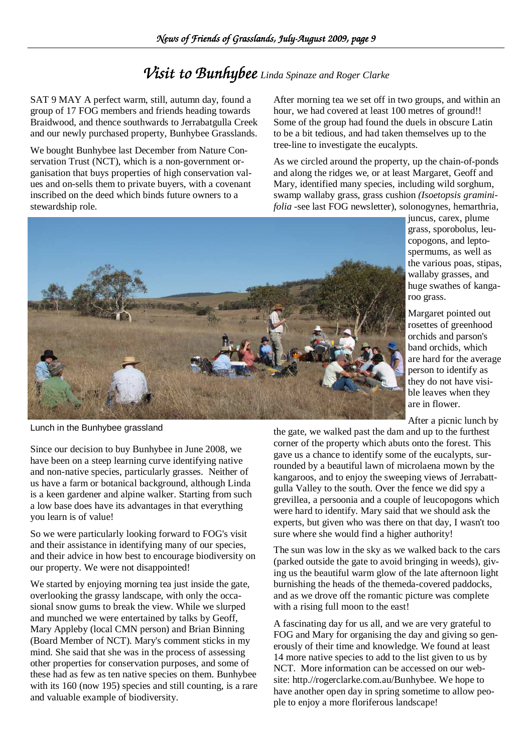### *Visit to Bunhybee Linda Spinaze and Roger Clarke*

SAT 9 MAY A perfect warm, still, autumn day, found a group of 17 FOG members and friends heading towards Braidwood, and thence southwards to Jerrabatgulla Creek and our newly purchased property, Bunhybee Grasslands.

We bought Bunhybee last December from Nature Conservation Trust (NCT), which is a non-government organisation that buys properties of high conservation values and on-sells them to private buyers, with a covenant inscribed on the deed which binds future owners to a stewardship role.

After morning tea we set off in two groups, and within an hour, we had covered at least 100 metres of ground!! Some of the group had found the duels in obscure Latin to be a bit tedious, and had taken themselves up to the tree-line to investigate the eucalypts.

As we circled around the property, up the chain-of-ponds and along the ridges we, or at least Margaret, Geoff and Mary, identified many species, including wild sorghum, swamp wallaby grass, grass cushion *(Isoetopsis graminifolia* -see last FOG newsletter), solonogynes, hemarthria,



juncus, carex, plume grass, sporobolus, leucopogons, and leptospermums, as well as the various poas, stipas, wallaby grasses, and huge swathes of kangaroo grass.

Margaret pointed out rosettes of greenhood orchids and parson's band orchids, which are hard for the average person to identify as they do not have visible leaves when they are in flower.

After a picnic lunch by

Lunch in the Bunhybee grassland

Since our decision to buy Bunhybee in June 2008, we have been on a steep learning curve identifying native and non-native species, particularly grasses. Neither of us have a farm or botanical background, although Linda is a keen gardener and alpine walker. Starting from such a low base does have its advantages in that everything you learn is of value!

So we were particularly looking forward to FOG's visit and their assistance in identifying many of our species, and their advice in how best to encourage biodiversity on our property. We were not disappointed!

We started by enjoying morning tea just inside the gate, overlooking the grassy landscape, with only the occasional snow gums to break the view. While we slurped and munched we were entertained by talks by Geoff, Mary Appleby (local CMN person) and Brian Binning (Board Member of NCT). Mary's comment sticks in my mind. She said that she was in the process of assessing other properties for conservation purposes, and some of these had as few as ten native species on them. Bunhybee with its 160 (now 195) species and still counting, is a rare and valuable example of biodiversity.

the gate, we walked past the dam and up to the furthest corner of the property which abuts onto the forest. This gave us a chance to identify some of the eucalypts, surrounded by a beautiful lawn of microlaena mown by the kangaroos, and to enjoy the sweeping views of Jerrabattgulla Valley to the south. Over the fence we did spy a grevillea, a persoonia and a couple of leucopogons which were hard to identify. Mary said that we should ask the experts, but given who was there on that day, I wasn't too sure where she would find a higher authority!

The sun was low in the sky as we walked back to the cars (parked outside the gate to avoid bringing in weeds), giving us the beautiful warm glow of the late afternoon light burnishing the heads of the themeda-covered paddocks, and as we drove off the romantic picture was complete with a rising full moon to the east!

A fascinating day for us all, and we are very grateful to FOG and Mary for organising the day and giving so generously of their time and knowledge. We found at least 14 more native species to add to the list given to us by NCT. More information can be accessed on our website: http.//rogerclarke.com.au/Bunhybee. We hope to have another open day in spring sometime to allow people to enjoy a more floriferous landscape!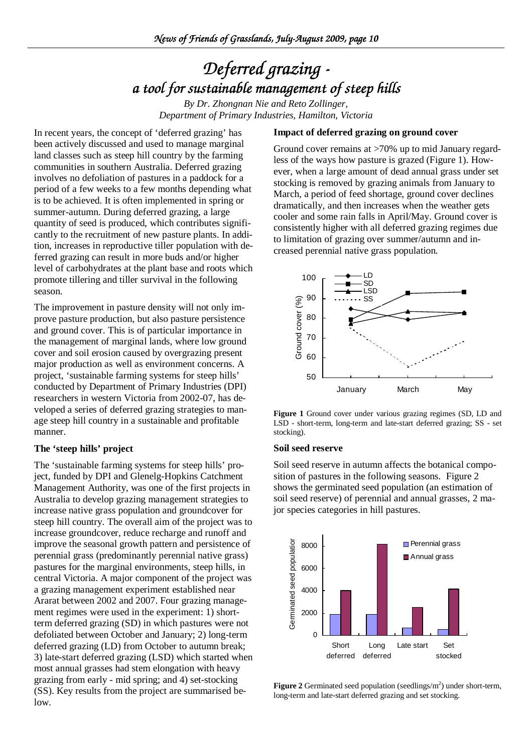# *Deferred grazing - a tool for sustainable management of steep hills tool management hills*

*By Dr. Zhongnan Nie and Reto Zollinger, Department of Primary Industries, Hamilton, Victoria*

#### **Impact of deferred grazing on ground cover**

In recent years, the concept of 'deferred grazing' has been actively discussed and used to manage marginal land classes such as steep hill country by the farming communities in southern Australia. Deferred grazing involves no defoliation of pastures in a paddock for a period of a few weeks to a few months depending what is to be achieved. It is often implemented in spring or summer-autumn. During deferred grazing, a large quantity of seed is produced, which contributes significantly to the recruitment of new pasture plants. In addition, increases in reproductive tiller population with deferred grazing can result in more buds and/or higher level of carbohydrates at the plant base and roots which promote tillering and tiller survival in the following season.

The improvement in pasture density will not only improve pasture production, but also pasture persistence and ground cover. This is of particular importance in the management of marginal lands, where low ground cover and soil erosion caused by overgrazing present major production as well as environment concerns. A project, 'sustainable farming systems for steep hills' conducted by Department of Primary Industries (DPI) researchers in western Victoria from 2002-07, has developed a series of deferred grazing strategies to manage steep hill country in a sustainable and profitable manner.

#### **The 'steep hills' project**

The 'sustainable farming systems for steep hills' project, funded by DPI and Glenelg-Hopkins Catchment Management Authority, was one of the first projects in Australia to develop grazing management strategies to increase native grass population and groundcover for steep hill country. The overall aim of the project was to increase groundcover, reduce recharge and runoff and improve the seasonal growth pattern and persistence of perennial grass (predominantly perennial native grass) pastures for the marginal environments, steep hills, in central Victoria. A major component of the project was a grazing management experiment established near Ararat between 2002 and 2007. Four grazing management regimes were used in the experiment: 1) shortterm deferred grazing (SD) in which pastures were not defoliated between October and January; 2) long-term deferred grazing (LD) from October to autumn break; 3) late-start deferred grazing (LSD) which started when most annual grasses had stem elongation with heavy grazing from early - mid spring; and 4) set-stocking (SS). Key results from the project are summarised below.

Ground cover remains at >70% up to mid January regardless of the ways how pasture is grazed (Figure 1). However, when a large amount of dead annual grass under set stocking is removed by grazing animals from January to March, a period of feed shortage, ground cover declines dramatically, and then increases when the weather gets cooler and some rain falls in April/May. Ground cover is consistently higher with all deferred grazing regimes due to limitation of grazing over summer/autumn and increased perennial native grass population.



**Figure 1** Ground cover under various grazing regimes (SD, LD and LSD - short-term, long-term and late-start deferred grazing; SS - set stocking).

#### **Soil seed reserve**

Soil seed reserve in autumn affects the botanical composition of pastures in the following seasons. Figure 2 shows the germinated seed population (an estimation of soil seed reserve) of perennial and annual grasses, 2 major species categories in hill pastures.



Figure 2 Germinated seed population (seedlings/m<sup>2</sup>) under short-term, long-term and late-start deferred grazing and set stocking.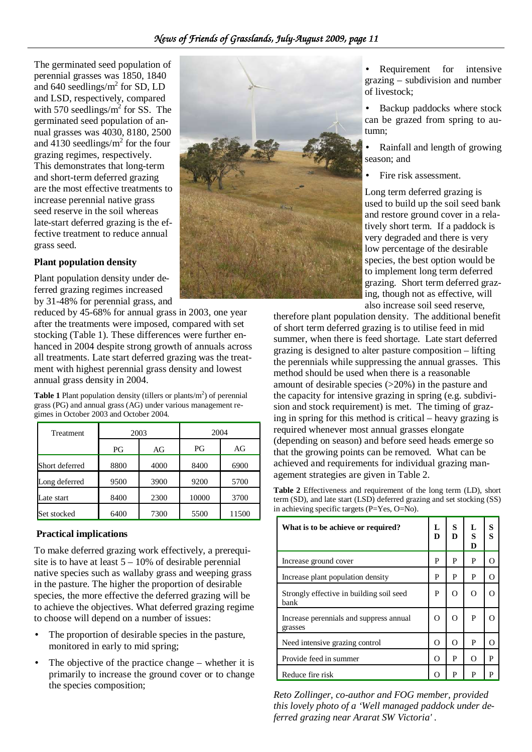The germinated seed population of perennial grasses was 1850, 1840 and  $640$  seedlings/ $m^2$  for SD, LD and LSD, respectively, compared with 570 seedlings/ $m^2$  for SS. The germinated seed population of annual grasses was 4030, 8180, 2500 and  $4130$  seedlings/ $m^2$  for the four grazing regimes, respectively. This demonstrates that long-term and short-term deferred grazing are the most effective treatments to increase perennial native grass seed reserve in the soil whereas late-start deferred grazing is the effective treatment to reduce annual grass seed.

#### **Plant population density**

Plant population density under deferred grazing regimes increased by 31-48% for perennial grass, and

reduced by 45-68% for annual grass in 2003, one year after the treatments were imposed, compared with set stocking (Table 1). These differences were further enhanced in 2004 despite strong growth of annuals across all treatments. Late start deferred grazing was the treatment with highest perennial grass density and lowest annual grass density in 2004.

**Table 1** Plant population density (tillers or plants/ $m<sup>2</sup>$ ) of perennial grass (PG) and annual grass (AG) under various management regimes in October 2003 and October 2004.

| <b>Treatment</b> | 2003 |      | 2004  |       |
|------------------|------|------|-------|-------|
|                  | PG   | AG   | PG    | AG    |
| Short deferred   | 8800 | 4000 | 8400  | 6900  |
| Long deferred    | 9500 | 3900 | 9200  | 5700  |
| Late start       | 8400 | 2300 | 10000 | 3700  |
| Set stocked      | 6400 | 7300 | 5500  | 11500 |

#### **Practical implications**

To make deferred grazing work effectively, a prerequisite is to have at least  $5 - 10\%$  of desirable perennial native species such as wallaby grass and weeping grass in the pasture. The higher the proportion of desirable species, the more effective the deferred grazing will be to achieve the objectives. What deferred grazing regime to choose will depend on a number of issues:

- The proportion of desirable species in the pasture, monitored in early to mid spring;
- The objective of the practice change  $-$  whether it is primarily to increase the ground cover or to change the species composition;



• Requirement for intensive grazing – subdivision and number of livestock;

• Backup paddocks where stock can be grazed from spring to autumn;

• Rainfall and length of growing season; and

Fire risk assessment.

Long term deferred grazing is used to build up the soil seed bank and restore ground cover in a relatively short term. If a paddock is very degraded and there is very low percentage of the desirable species, the best option would be to implement long term deferred grazing. Short term deferred grazing, though not as effective, will also increase soil seed reserve,

therefore plant population density. The additional benefit of short term deferred grazing is to utilise feed in mid summer, when there is feed shortage. Late start deferred grazing is designed to alter pasture composition – lifting the perennials while suppressing the annual grasses. This method should be used when there is a reasonable amount of desirable species (>20%) in the pasture and the capacity for intensive grazing in spring (e.g. subdivision and stock requirement) is met. The timing of grazing in spring for this method is critical – heavy grazing is required whenever most annual grasses elongate (depending on season) and before seed heads emerge so that the growing points can be removed. What can be achieved and requirements for individual grazing management strategies are given in Table 2.

**Table 2** Effectiveness and requirement of the long term (LD), short term (SD), and late start (LSD) deferred grazing and set stocking (SS) in achieving specific targets (P=Yes, O=No).

| What is to be achieve or required?                 | L<br>D | S<br>D   | L<br>S<br>D | S<br>S |
|----------------------------------------------------|--------|----------|-------------|--------|
| Increase ground cover                              | P      | P        | P           |        |
| Increase plant population density                  | P      | P        | P           | റ      |
| Strongly effective in building soil seed<br>bank   | P      | Ω        | $\Omega$    |        |
| Increase perennials and suppress annual<br>grasses |        | O        | P           |        |
| Need intensive grazing control                     |        | $\Omega$ | P           | ∩      |
| Provide feed in summer                             |        | P        | O           | P      |
| Reduce fire risk                                   |        | P        | P           | P      |

*Reto Zollinger, co-author and FOG member, provided this lovely photo of a 'Well managed paddock under deferred grazing near Ararat SW Victoria' .*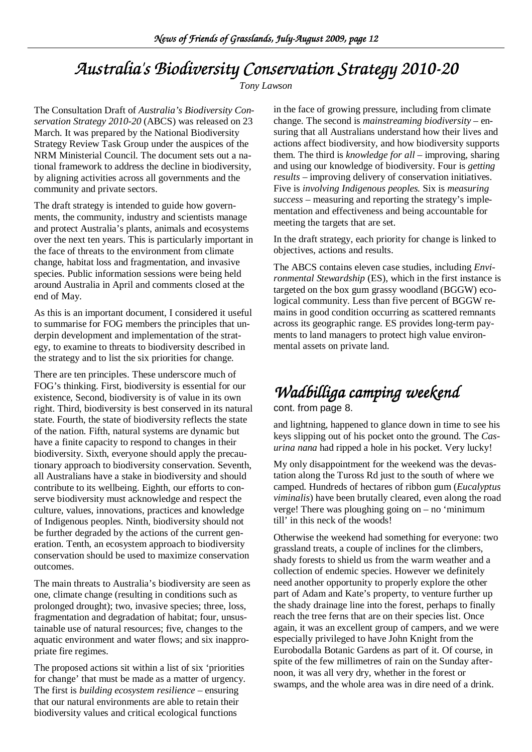# *Australia's Biodiversity Conservation Strategy 2010-20*

*Tony Lawson* 

The Consultation Draft of *Australia's Biodiversity Conservation Strategy 2010-20* (ABCS) was released on 23 March. It was prepared by the National Biodiversity Strategy Review Task Group under the auspices of the NRM Ministerial Council. The document sets out a national framework to address the decline in biodiversity, by aligning activities across all governments and the community and private sectors.

The draft strategy is intended to guide how governments, the community, industry and scientists manage and protect Australia's plants, animals and ecosystems over the next ten years. This is particularly important in the face of threats to the environment from climate change, habitat loss and fragmentation, and invasive species. Public information sessions were being held around Australia in April and comments closed at the end of May.

As this is an important document, I considered it useful to summarise for FOG members the principles that underpin development and implementation of the strategy, to examine to threats to biodiversity described in the strategy and to list the six priorities for change.

There are ten principles. These underscore much of FOG's thinking. First, biodiversity is essential for our existence, Second, biodiversity is of value in its own right. Third, biodiversity is best conserved in its natural state. Fourth, the state of biodiversity reflects the state of the nation. Fifth, natural systems are dynamic but have a finite capacity to respond to changes in their biodiversity. Sixth, everyone should apply the precautionary approach to biodiversity conservation. Seventh, all Australians have a stake in biodiversity and should contribute to its wellbeing. Eighth, our efforts to conserve biodiversity must acknowledge and respect the culture, values, innovations, practices and knowledge of Indigenous peoples. Ninth, biodiversity should not be further degraded by the actions of the current generation. Tenth, an ecosystem approach to biodiversity conservation should be used to maximize conservation outcomes.

The main threats to Australia's biodiversity are seen as one, climate change (resulting in conditions such as prolonged drought); two, invasive species; three, loss, fragmentation and degradation of habitat; four, unsustainable use of natural resources; five, changes to the aquatic environment and water flows; and six inappropriate fire regimes.

The proposed actions sit within a list of six 'priorities for change' that must be made as a matter of urgency. The first is *building ecosystem resilience* – ensuring that our natural environments are able to retain their biodiversity values and critical ecological functions

in the face of growing pressure, including from climate change. The second is *mainstreaming biodiversity* – ensuring that all Australians understand how their lives and actions affect biodiversity, and how biodiversity supports them. The third is *knowledge for all* – improving, sharing and using our knowledge of biodiversity. Four is *getting results* – improving delivery of conservation initiatives. Five is *involving Indigenous peoples.* Six is *measuring success* – measuring and reporting the strategy's implementation and effectiveness and being accountable for meeting the targets that are set.

In the draft strategy, each priority for change is linked to objectives, actions and results.

The ABCS contains eleven case studies, including *Environmental Stewardship* (ES), which in the first instance is targeted on the box gum grassy woodland (BGGW) ecological community. Less than five percent of BGGW remains in good condition occurring as scattered remnants across its geographic range. ES provides long-term payments to land managers to protect high value environmental assets on private land.

# *Wadbilliga camping weekend Wadbilliga camping weekend*

#### cont. from page 8.

and lightning, happened to glance down in time to see his keys slipping out of his pocket onto the ground. The *Casurina nana* had ripped a hole in his pocket. Very lucky!

My only disappointment for the weekend was the devastation along the Tuross Rd just to the south of where we camped. Hundreds of hectares of ribbon gum (*Eucalyptus viminalis*) have been brutally cleared, even along the road verge! There was ploughing going on – no 'minimum till' in this neck of the woods!

Otherwise the weekend had something for everyone: two grassland treats, a couple of inclines for the climbers, shady forests to shield us from the warm weather and a collection of endemic species. However we definitely need another opportunity to properly explore the other part of Adam and Kate's property, to venture further up the shady drainage line into the forest, perhaps to finally reach the tree ferns that are on their species list. Once again, it was an excellent group of campers, and we were especially privileged to have John Knight from the Eurobodalla Botanic Gardens as part of it. Of course, in spite of the few millimetres of rain on the Sunday afternoon, it was all very dry, whether in the forest or swamps, and the whole area was in dire need of a drink.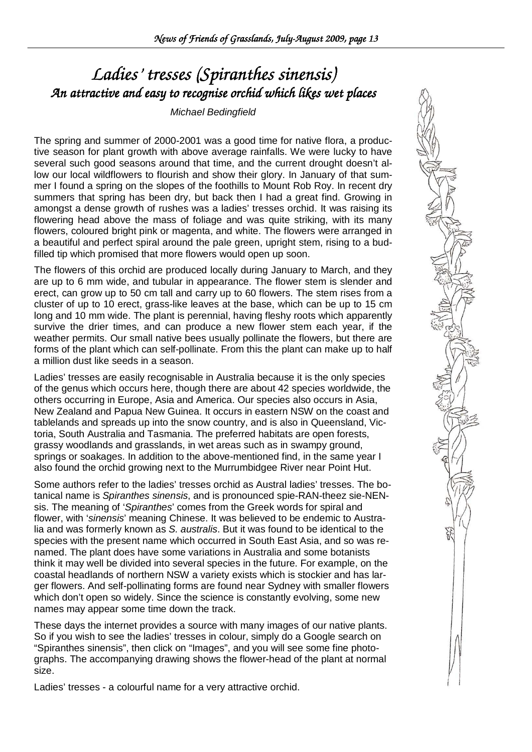# *Ladies' tresses (Spiranthes sinensis) An attractive and easy to recognise orchid which likes wet places kes*

#### Michael Bedingfield

The spring and summer of 2000-2001 was a good time for native flora, a productive season for plant growth with above average rainfalls. We were lucky to have several such good seasons around that time, and the current drought doesn't allow our local wildflowers to flourish and show their glory. In January of that summer I found a spring on the slopes of the foothills to Mount Rob Roy. In recent dry summers that spring has been dry, but back then I had a great find. Growing in amongst a dense growth of rushes was a ladies' tresses orchid. It was raising its flowering head above the mass of foliage and was quite striking, with its many flowers, coloured bright pink or magenta, and white. The flowers were arranged in a beautiful and perfect spiral around the pale green, upright stem, rising to a budfilled tip which promised that more flowers would open up soon.

The flowers of this orchid are produced locally during January to March, and they are up to 6 mm wide, and tubular in appearance. The flower stem is slender and erect, can grow up to 50 cm tall and carry up to 60 flowers. The stem rises from a cluster of up to 10 erect, grass-like leaves at the base, which can be up to 15 cm long and 10 mm wide. The plant is perennial, having fleshy roots which apparently survive the drier times, and can produce a new flower stem each year, if the weather permits. Our small native bees usually pollinate the flowers, but there are forms of the plant which can self-pollinate. From this the plant can make up to half a million dust like seeds in a season.

Ladies' tresses are easily recognisable in Australia because it is the only species of the genus which occurs here, though there are about 42 species worldwide, the others occurring in Europe, Asia and America. Our species also occurs in Asia, New Zealand and Papua New Guinea. It occurs in eastern NSW on the coast and tablelands and spreads up into the snow country, and is also in Queensland, Victoria, South Australia and Tasmania. The preferred habitats are open forests, grassy woodlands and grasslands, in wet areas such as in swampy ground, springs or soakages. In addition to the above-mentioned find, in the same year I also found the orchid growing next to the Murrumbidgee River near Point Hut.

Some authors refer to the ladies' tresses orchid as Austral ladies' tresses. The botanical name is Spiranthes sinensis, and is pronounced spie-RAN-theez sie-NENsis. The meaning of 'Spiranthes' comes from the Greek words for spiral and flower, with 'sinensis' meaning Chinese. It was believed to be endemic to Australia and was formerly known as S. australis. But it was found to be identical to the species with the present name which occurred in South East Asia, and so was renamed. The plant does have some variations in Australia and some botanists think it may well be divided into several species in the future. For example, on the coastal headlands of northern NSW a variety exists which is stockier and has larger flowers. And self-pollinating forms are found near Sydney with smaller flowers which don't open so widely. Since the science is constantly evolving, some new names may appear some time down the track.

These days the internet provides a source with many images of our native plants. So if you wish to see the ladies' tresses in colour, simply do a Google search on "Spiranthes sinensis", then click on "Images", and you will see some fine photographs. The accompanying drawing shows the flower-head of the plant at normal size.

Ladies' tresses - a colourful name for a very attractive orchid.